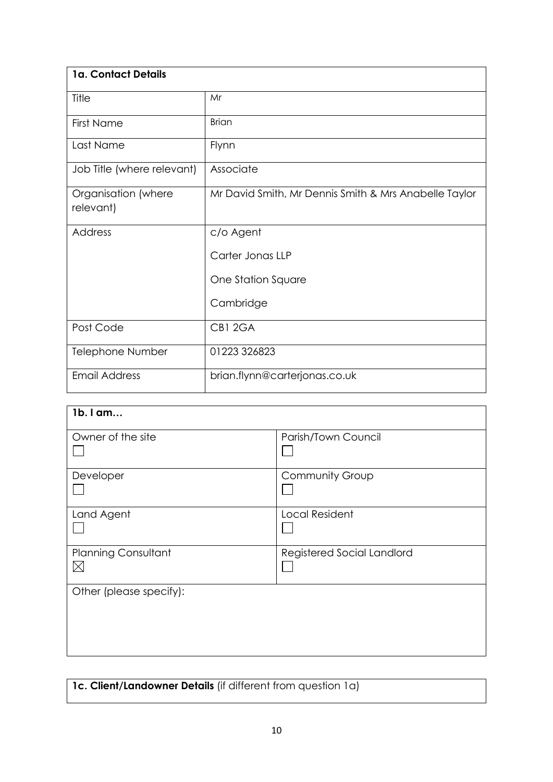| 1a. Contact Details              |                                                       |
|----------------------------------|-------------------------------------------------------|
| Title                            | Mr                                                    |
| <b>First Name</b>                | <b>Brian</b>                                          |
| Last Name                        | Flynn                                                 |
| Job Title (where relevant)       | Associate                                             |
| Organisation (where<br>relevant) | Mr David Smith, Mr Dennis Smith & Mrs Anabelle Taylor |
| Address                          | c/o Agent                                             |
|                                  | Carter Jonas LLP                                      |
|                                  | One Station Square                                    |
|                                  | Cambridge                                             |
| Post Code                        | CB1 2GA                                               |
| Telephone Number                 | 01223 326823                                          |
| <b>Email Address</b>             | brian.flynn@carterjonas.co.uk                         |

| 1b. I am                                  |                            |
|-------------------------------------------|----------------------------|
| Owner of the site                         | Parish/Town Council        |
| Developer                                 | <b>Community Group</b>     |
| Land Agent                                | <b>Local Resident</b>      |
| <b>Planning Consultant</b><br>$\boxtimes$ | Registered Social Landlord |
| Other (please specify):                   |                            |
|                                           |                            |
|                                           |                            |

**1c. Client/Landowner Details** (if different from question 1a)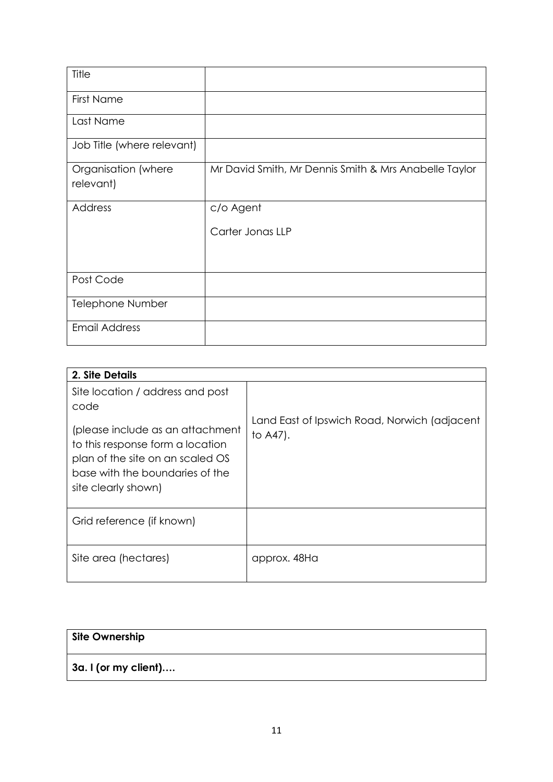| Title                            |                                                       |
|----------------------------------|-------------------------------------------------------|
| <b>First Name</b>                |                                                       |
| Last Name                        |                                                       |
| Job Title (where relevant)       |                                                       |
| Organisation (where<br>relevant) | Mr David Smith, Mr Dennis Smith & Mrs Anabelle Taylor |
| <b>Address</b>                   | c/o Agent                                             |
|                                  | Carter Jonas LLP                                      |
|                                  |                                                       |
| Post Code                        |                                                       |
| Telephone Number                 |                                                       |
| <b>Email Address</b>             |                                                       |

| 2. Site Details                                                                                                                                                    |                                                          |
|--------------------------------------------------------------------------------------------------------------------------------------------------------------------|----------------------------------------------------------|
| Site location / address and post<br>code                                                                                                                           |                                                          |
| (please include as an attachment<br>to this response form a location<br>plan of the site on an scaled OS<br>base with the boundaries of the<br>site clearly shown) | Land East of Ipswich Road, Norwich (adjacent<br>to A47). |
| Grid reference (if known)                                                                                                                                          |                                                          |
| Site area (hectares)                                                                                                                                               | approx. 48Ha                                             |

| <b>Site Ownership</b>        |  |
|------------------------------|--|
| $\vert$ 3a. I (or my client) |  |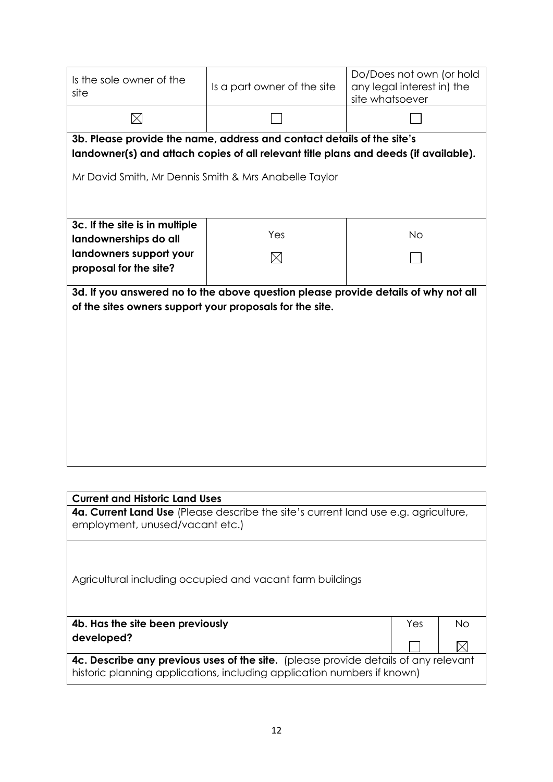| Is the sole owner of the<br>site                                                                                                                               | Is a part owner of the site                                                         | site whatsoever | Do/Does not own (or hold<br>any legal interest in) the |           |  |  |
|----------------------------------------------------------------------------------------------------------------------------------------------------------------|-------------------------------------------------------------------------------------|-----------------|--------------------------------------------------------|-----------|--|--|
| $\times$                                                                                                                                                       |                                                                                     |                 |                                                        |           |  |  |
| 3b. Please provide the name, address and contact details of the site's<br>landowner(s) and attach copies of all relevant title plans and deeds (if available). |                                                                                     |                 |                                                        |           |  |  |
| Mr David Smith, Mr Dennis Smith & Mrs Anabelle Taylor                                                                                                          |                                                                                     |                 |                                                        |           |  |  |
|                                                                                                                                                                |                                                                                     |                 |                                                        |           |  |  |
| 3c. If the site is in multiple                                                                                                                                 |                                                                                     |                 |                                                        |           |  |  |
| landownerships do all                                                                                                                                          | Yes                                                                                 |                 | <b>No</b>                                              |           |  |  |
| landowners support your                                                                                                                                        | M                                                                                   |                 |                                                        |           |  |  |
| proposal for the site?                                                                                                                                         |                                                                                     |                 |                                                        |           |  |  |
| of the sites owners support your proposals for the site.                                                                                                       | 3d. If you answered no to the above question please provide details of why not all  |                 |                                                        |           |  |  |
|                                                                                                                                                                |                                                                                     |                 |                                                        |           |  |  |
|                                                                                                                                                                |                                                                                     |                 |                                                        |           |  |  |
|                                                                                                                                                                |                                                                                     |                 |                                                        |           |  |  |
|                                                                                                                                                                |                                                                                     |                 |                                                        |           |  |  |
|                                                                                                                                                                |                                                                                     |                 |                                                        |           |  |  |
|                                                                                                                                                                |                                                                                     |                 |                                                        |           |  |  |
|                                                                                                                                                                |                                                                                     |                 |                                                        |           |  |  |
|                                                                                                                                                                |                                                                                     |                 |                                                        |           |  |  |
|                                                                                                                                                                |                                                                                     |                 |                                                        |           |  |  |
| <b>Current and Historic Land Uses</b>                                                                                                                          | 4a. Current Land Use (Please describe the site's current land use e.g. agriculture, |                 |                                                        |           |  |  |
| employment, unused/vacant etc.)                                                                                                                                |                                                                                     |                 |                                                        |           |  |  |
|                                                                                                                                                                |                                                                                     |                 |                                                        |           |  |  |
|                                                                                                                                                                |                                                                                     |                 |                                                        |           |  |  |
|                                                                                                                                                                | Agricultural including occupied and vacant farm buildings                           |                 |                                                        |           |  |  |
|                                                                                                                                                                |                                                                                     |                 |                                                        |           |  |  |
| 4b. Has the site been previously                                                                                                                               |                                                                                     |                 | Yes                                                    | <b>No</b> |  |  |
| developed?                                                                                                                                                     |                                                                                     |                 |                                                        |           |  |  |

**4c. Describe any previous uses of the site.** (please provide details of any relevant historic planning applications, including application numbers if known)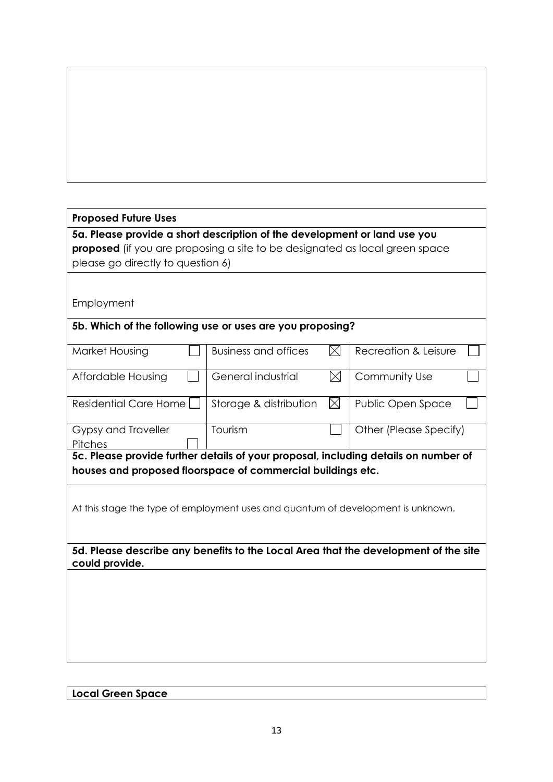# **Proposed Future Uses**

**5a. Please provide a short description of the development or land use you proposed** (if you are proposing a site to be designated as local green space please go directly to question 6)

Employment

### **5b. Which of the following use or uses are you proposing?**

| Market Housing                                                                                        | Business and offices   |     | Recreation & Leisure   |  |
|-------------------------------------------------------------------------------------------------------|------------------------|-----|------------------------|--|
| Affordable Housing                                                                                    | General industrial     | IXI | Community Use          |  |
| Residential Care Home                                                                                 | Storage & distribution |     | Public Open Space      |  |
| Gypsy and Traveller                                                                                   | Tourism                |     | Other (Please Specify) |  |
| <b>Pitches</b>                                                                                        |                        |     |                        |  |
| 5c. Please provide further details of your proposal, including details on number of                   |                        |     |                        |  |
| houses and proposed floorspace of commercial buildings etc.                                           |                        |     |                        |  |
| At this stage the type of employment uses and quantum of development is unknown.                      |                        |     |                        |  |
| 5d. Please describe any benefits to the Local Area that the development of the site<br>could provide. |                        |     |                        |  |
|                                                                                                       |                        |     |                        |  |

## **Local Green Space**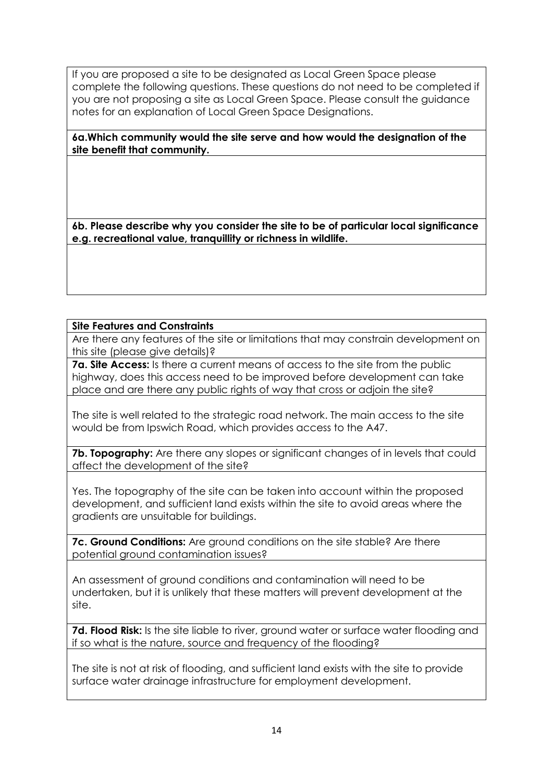If you are proposed a site to be designated as Local Green Space please complete the following questions. These questions do not need to be completed if you are not proposing a site as Local Green Space. Please consult the guidance notes for an explanation of Local Green Space Designations.

**6a.Which community would the site serve and how would the designation of the site benefit that community.** 

**6b. Please describe why you consider the site to be of particular local significance e.g. recreational value, tranquillity or richness in wildlife.** 

#### **Site Features and Constraints**

Are there any features of the site or limitations that may constrain development on this site (please give details)?

**7a. Site Access:** Is there a current means of access to the site from the public highway, does this access need to be improved before development can take place and are there any public rights of way that cross or adjoin the site?

The site is well related to the strategic road network. The main access to the site would be from Ipswich Road, which provides access to the A47.

**7b. Topography:** Are there any slopes or significant changes of in levels that could affect the development of the site?

Yes. The topography of the site can be taken into account within the proposed development, and sufficient land exists within the site to avoid areas where the gradients are unsuitable for buildings.

**7c. Ground Conditions:** Are ground conditions on the site stable? Are there potential ground contamination issues?

An assessment of ground conditions and contamination will need to be undertaken, but it is unlikely that these matters will prevent development at the site.

**7d. Flood Risk:** Is the site liable to river, ground water or surface water flooding and if so what is the nature, source and frequency of the flooding?

The site is not at risk of flooding, and sufficient land exists with the site to provide surface water drainage infrastructure for employment development.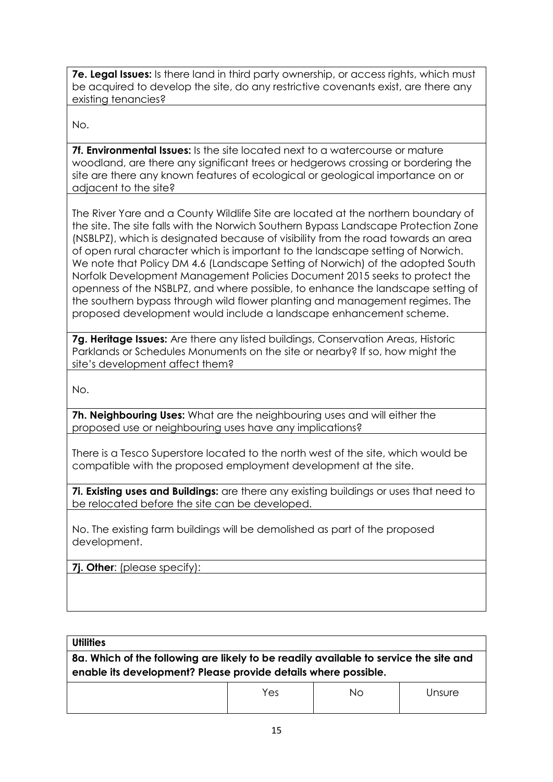**7e. Legal Issues:** Is there land in third party ownership, or access rights, which must be acquired to develop the site, do any restrictive covenants exist, are there any existing tenancies?

No.

**7f. Environmental Issues:** Is the site located next to a watercourse or mature woodland, are there any significant trees or hedgerows crossing or bordering the site are there any known features of ecological or geological importance on or adjacent to the site?

The River Yare and a County Wildlife Site are located at the northern boundary of the site. The site falls with the Norwich Southern Bypass Landscape Protection Zone (NSBLPZ), which is designated because of visibility from the road towards an area of open rural character which is important to the landscape setting of Norwich. We note that Policy DM 4.6 (Landscape Setting of Norwich) of the adopted South Norfolk Development Management Policies Document 2015 seeks to protect the openness of the NSBLPZ, and where possible, to enhance the landscape setting of the southern bypass through wild flower planting and management regimes. The proposed development would include a landscape enhancement scheme.

**7g. Heritage Issues:** Are there any listed buildings, Conservation Areas, Historic Parklands or Schedules Monuments on the site or nearby? If so, how might the site's development affect them?

No.

**7h. Neighbouring Uses:** What are the neighbouring uses and will either the proposed use or neighbouring uses have any implications?

There is a Tesco Superstore located to the north west of the site, which would be compatible with the proposed employment development at the site.

**7i. Existing uses and Buildings:** are there any existing buildings or uses that need to be relocated before the site can be developed.

No. The existing farm buildings will be demolished as part of the proposed development.

**7j. Other**: (please specify):

#### **Utilities**

**8a. Which of the following are likely to be readily available to service the site and enable its development? Please provide details where possible.**

| Yes | ΝO | Jnsure |
|-----|----|--------|
|     |    |        |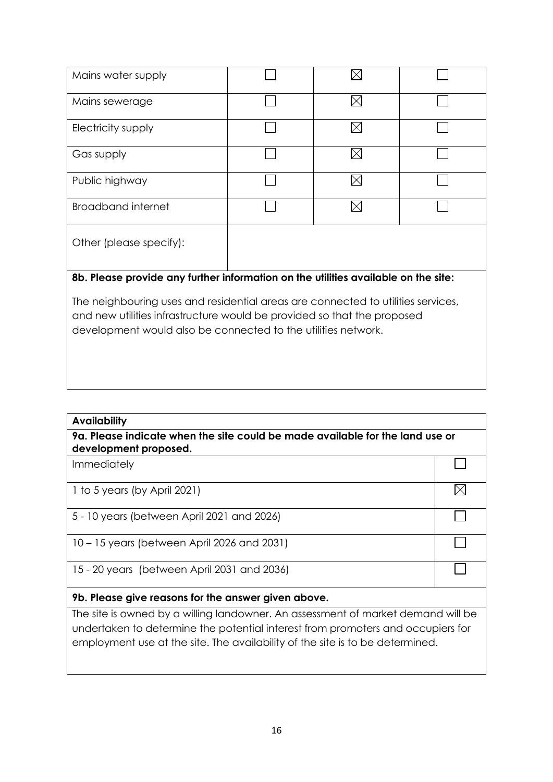| Mains water supply                                                                                                                                                                                                           |  |  |  |  |  |
|------------------------------------------------------------------------------------------------------------------------------------------------------------------------------------------------------------------------------|--|--|--|--|--|
| Mains sewerage                                                                                                                                                                                                               |  |  |  |  |  |
| Electricity supply                                                                                                                                                                                                           |  |  |  |  |  |
| Gas supply                                                                                                                                                                                                                   |  |  |  |  |  |
| Public highway                                                                                                                                                                                                               |  |  |  |  |  |
| Broadband internet                                                                                                                                                                                                           |  |  |  |  |  |
| Other (please specify):                                                                                                                                                                                                      |  |  |  |  |  |
| 8b. Please provide any further information on the utilities available on the site:                                                                                                                                           |  |  |  |  |  |
| The neighbouring uses and residential areas are connected to utilities services,<br>and new utilities infrastructure would be provided so that the proposed<br>development would also be connected to the utilities network. |  |  |  |  |  |

| <b>Availability</b>                                                                                    |  |  |
|--------------------------------------------------------------------------------------------------------|--|--|
| 9a. Please indicate when the site could be made available for the land use or<br>development proposed. |  |  |
| <b>Immediately</b>                                                                                     |  |  |
| 1 to 5 years (by April 2021)                                                                           |  |  |
| 5 - 10 years (between April 2021 and 2026)                                                             |  |  |
| 10 – 15 years (between April 2026 and 2031)                                                            |  |  |
| 15 - 20 years (between April 2031 and 2036)                                                            |  |  |
| 9b. Please give reasons for the answer given above.                                                    |  |  |
| The site is owned by a willing landowner. An assessment of market demand will be                       |  |  |
| undertaken te determine the petertial interest from premeters and ecoupiers for                        |  |  |

undertaken to determine the potential interest from promoters and occupiers for employment use at the site. The availability of the site is to be determined.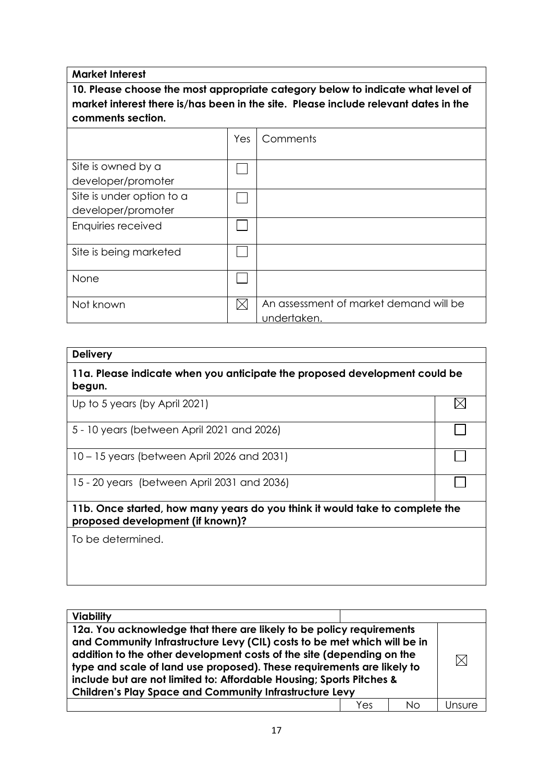**Market Interest**

**10. Please choose the most appropriate category below to indicate what level of market interest there is/has been in the site. Please include relevant dates in the comments section.**

|                                                 | Yes | Comments                                              |
|-------------------------------------------------|-----|-------------------------------------------------------|
| Site is owned by a<br>developer/promoter        |     |                                                       |
| Site is under option to a<br>developer/promoter |     |                                                       |
| Enquiries received                              |     |                                                       |
| Site is being marketed                          |     |                                                       |
| None                                            |     |                                                       |
| Not known                                       |     | An assessment of market demand will be<br>undertaken. |

| <b>Delivery</b>                                                                                                  |  |
|------------------------------------------------------------------------------------------------------------------|--|
| 11a. Please indicate when you anticipate the proposed development could be<br>begun.                             |  |
| Up to 5 years (by April 2021)                                                                                    |  |
| 5 - 10 years (between April 2021 and 2026)                                                                       |  |
| 10 – 15 years (between April 2026 and 2031)                                                                      |  |
| 15 - 20 years (between April 2031 and 2036)                                                                      |  |
| 11b. Once started, how many years do you think it would take to complete the<br>proposed development (if known)? |  |
| To be determined.                                                                                                |  |
|                                                                                                                  |  |

| <b>Viability</b>                                                                                                                                                                                                                                                                                                                                                                                                                              |     |    |  |
|-----------------------------------------------------------------------------------------------------------------------------------------------------------------------------------------------------------------------------------------------------------------------------------------------------------------------------------------------------------------------------------------------------------------------------------------------|-----|----|--|
| 12a. You acknowledge that there are likely to be policy requirements<br>and Community Infrastructure Levy (CIL) costs to be met which will be in<br>addition to the other development costs of the site (depending on the<br>type and scale of land use proposed). These requirements are likely to<br>include but are not limited to: Affordable Housing; Sports Pitches &<br><b>Children's Play Space and Community Infrastructure Levy</b> |     |    |  |
|                                                                                                                                                                                                                                                                                                                                                                                                                                               | Yes | Nο |  |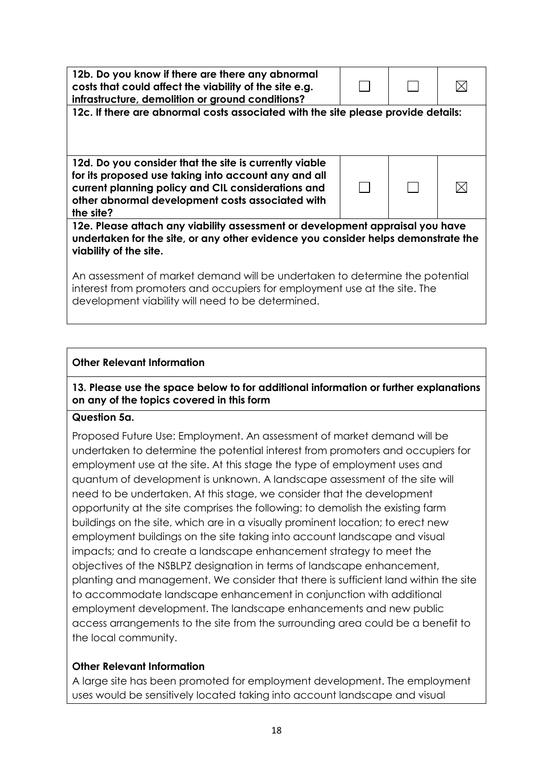| 12b. Do you know if there are there any abnormal<br>costs that could affect the viability of the site e.g.<br>infrastructure, demolition or ground conditions?                                                                        |  |  |  |  |
|---------------------------------------------------------------------------------------------------------------------------------------------------------------------------------------------------------------------------------------|--|--|--|--|
| 12c. If there are abnormal costs associated with the site please provide details:                                                                                                                                                     |  |  |  |  |
|                                                                                                                                                                                                                                       |  |  |  |  |
| 12d. Do you consider that the site is currently viable<br>for its proposed use taking into account any and all<br>current planning policy and CIL considerations and<br>other abnormal development costs associated with<br>the site? |  |  |  |  |
| 12e. Please attach any viability assessment or development appraisal you have<br>undertaken for the site, or any other evidence you consider helps demonstrate the<br>viability of the site.                                          |  |  |  |  |
| An assessment of market demand will be undertaken to determine the potential<br>interest from promoters and occupiers for employment use at the site. The<br>development viability will need to be determined.                        |  |  |  |  |

## **Other Relevant Information**

### **13. Please use the space below to for additional information or further explanations on any of the topics covered in this form**

## **Question 5a.**

Proposed Future Use: Employment. An assessment of market demand will be undertaken to determine the potential interest from promoters and occupiers for employment use at the site. At this stage the type of employment uses and quantum of development is unknown. A landscape assessment of the site will need to be undertaken. At this stage, we consider that the development opportunity at the site comprises the following: to demolish the existing farm buildings on the site, which are in a visually prominent location; to erect new employment buildings on the site taking into account landscape and visual impacts; and to create a landscape enhancement strategy to meet the objectives of the NSBLPZ designation in terms of landscape enhancement, planting and management. We consider that there is sufficient land within the site to accommodate landscape enhancement in conjunction with additional employment development. The landscape enhancements and new public access arrangements to the site from the surrounding area could be a benefit to the local community.

### **Other Relevant Information**

A large site has been promoted for employment development. The employment uses would be sensitively located taking into account landscape and visual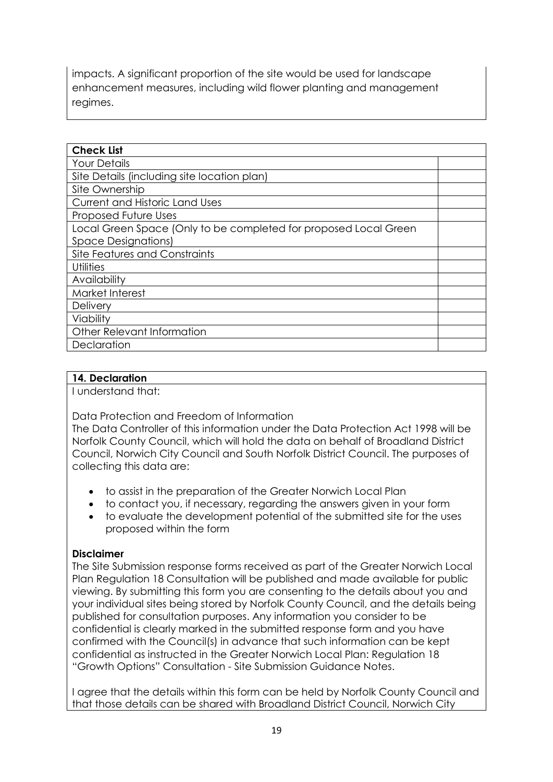impacts. A significant proportion of the site would be used for landscape enhancement measures, including wild flower planting and management regimes.

| <b>Check List</b>                                                |  |  |
|------------------------------------------------------------------|--|--|
| <b>Your Details</b>                                              |  |  |
| Site Details (including site location plan)                      |  |  |
| Site Ownership                                                   |  |  |
| <b>Current and Historic Land Uses</b>                            |  |  |
| Proposed Future Uses                                             |  |  |
| Local Green Space (Only to be completed for proposed Local Green |  |  |
| <b>Space Designations)</b>                                       |  |  |
| Site Features and Constraints                                    |  |  |
| Utilities                                                        |  |  |
| Availability                                                     |  |  |
| Market Interest                                                  |  |  |
| Delivery                                                         |  |  |
| Viability                                                        |  |  |
| Other Relevant Information                                       |  |  |
| Declaration                                                      |  |  |

### **14. Declaration**

I understand that:

Data Protection and Freedom of Information

The Data Controller of this information under the Data Protection Act 1998 will be Norfolk County Council, which will hold the data on behalf of Broadland District Council, Norwich City Council and South Norfolk District Council. The purposes of collecting this data are:

- to assist in the preparation of the Greater Norwich Local Plan
- to contact you, if necessary, regarding the answers given in your form
- to evaluate the development potential of the submitted site for the uses proposed within the form

### **Disclaimer**

The Site Submission response forms received as part of the Greater Norwich Local Plan Regulation 18 Consultation will be published and made available for public viewing. By submitting this form you are consenting to the details about you and your individual sites being stored by Norfolk County Council, and the details being published for consultation purposes. Any information you consider to be confidential is clearly marked in the submitted response form and you have confirmed with the Council(s) in advance that such information can be kept confidential as instructed in the Greater Norwich Local Plan: Regulation 18 "Growth Options" Consultation - Site Submission Guidance Notes.

I agree that the details within this form can be held by Norfolk County Council and that those details can be shared with Broadland District Council, Norwich City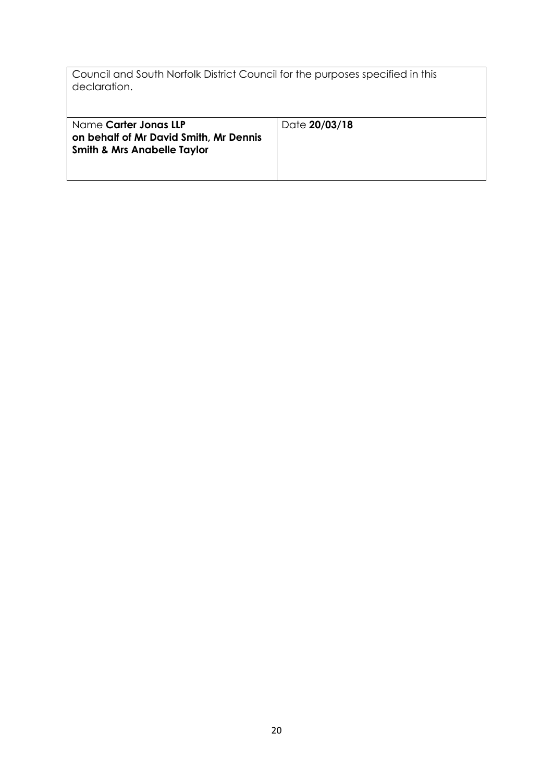| Council and South Norfolk District Council for the purposes specified in this<br>declaration.             |               |
|-----------------------------------------------------------------------------------------------------------|---------------|
| Name Carter Jonas LLP<br>on behalf of Mr David Smith, Mr Dennis<br><b>Smith &amp; Mrs Anabelle Taylor</b> | Date 20/03/18 |